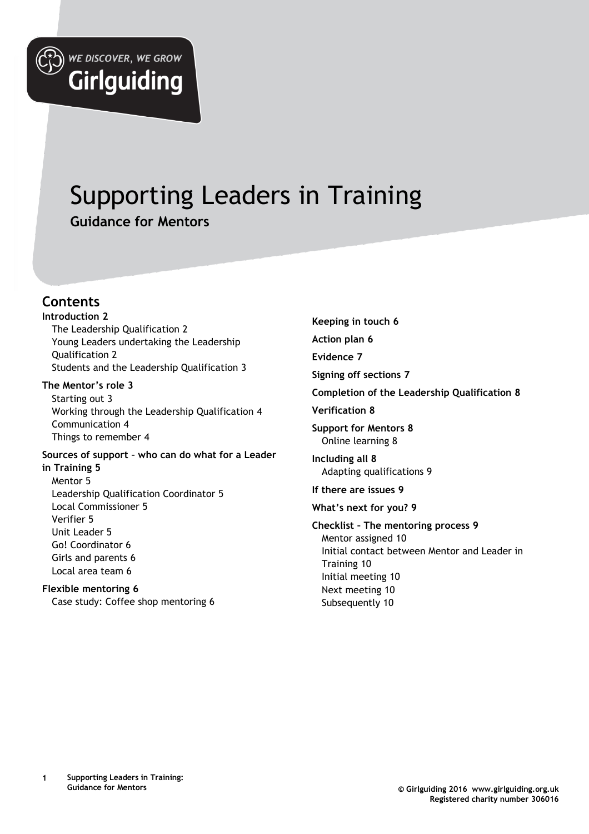

# Supporting Leaders in Training **Guidance for Mentors**

#### **Contents**

**Introduction 2** The Leadership Qualification 2 Young Leaders undertaking the Leadership

**Girlguiding** 

Qualification 2 Students and the Leadership Qualification 3

#### **The Mentor's role 3**

Starting out 3 Working through the Leadership Qualification 4 Communication 4 Things to remember 4

**Sources of support – who can do what for a Leader in Training 5** Mentor 5 Leadership Qualification Coordinator 5 Local Commissioner 5 Verifier 5 Unit Leader 5 Go! Coordinator 6 Girls and parents 6 Local area team 6

#### **Flexible mentoring 6**

Case study: Coffee shop mentoring 6

**Keeping in touch 6 Action plan 6 Evidence 7 Signing off sections 7 Completion of the Leadership Qualification 8 Verification 8 Support for Mentors 8** Online learning 8 **Including all 8** Adapting qualifications 9 **If there are issues 9 What's next for you? 9 Checklist – The mentoring process 9** Mentor assigned 10 Initial contact between Mentor and Leader in Training 10 Initial meeting 10 Next meeting 10 Subsequently 10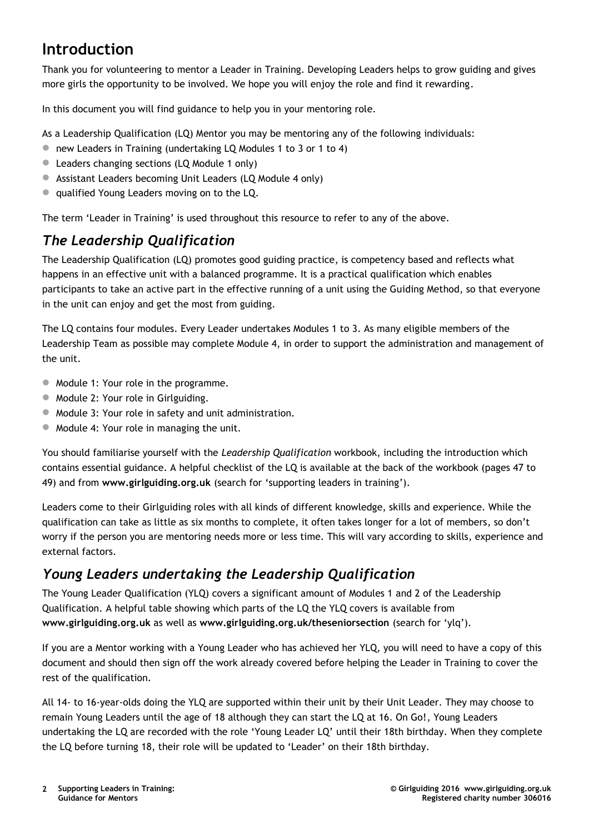## **Introduction**

Thank you for volunteering to mentor a Leader in Training. Developing Leaders helps to grow guiding and gives more girls the opportunity to be involved. We hope you will enjoy the role and find it rewarding.

In this document you will find guidance to help you in your mentoring role.

As a Leadership Qualification (LQ) Mentor you may be mentoring any of the following individuals:

- new Leaders in Training (undertaking LQ Modules 1 to 3 or 1 to 4)
- **Leaders changing sections (LQ Module 1 only)**
- Assistant Leaders becoming Unit Leaders (LQ Module 4 only)
- **Qualified Young Leaders moving on to the LQ.**

The term 'Leader in Training' is used throughout this resource to refer to any of the above.

### *The Leadership Qualification*

The Leadership Qualification (LQ) promotes good guiding practice, is competency based and reflects what happens in an effective unit with a balanced programme. It is a practical qualification which enables participants to take an active part in the effective running of a unit using the Guiding Method, so that everyone in the unit can enjoy and get the most from guiding.

The LQ contains four modules. Every Leader undertakes Modules 1 to 3. As many eligible members of the Leadership Team as possible may complete Module 4, in order to support the administration and management of the unit.

- $\bullet$  Module 1: Your role in the programme.
- $\bullet$  Module 2: Your role in Girlguiding.
- $\bullet$  Module 3: Your role in safety and unit administration.
- Module 4: Your role in managing the unit.

You should familiarise yourself with the *Leadership Qualification* workbook, including the introduction which contains essential guidance. A helpful checklist of the LQ is available at the back of the workbook (pages 47 to 49) and from **www.girlguiding.org.uk** (search for 'supporting leaders in training').

Leaders come to their Girlguiding roles with all kinds of different knowledge, skills and experience. While the qualification can take as little as six months to complete, it often takes longer for a lot of members, so don't worry if the person you are mentoring needs more or less time. This will vary according to skills, experience and external factors.

#### *Young Leaders undertaking the Leadership Qualification*

The Young Leader Qualification (YLQ) covers a significant amount of Modules 1 and 2 of the Leadership Qualification. A helpful table showing which parts of the LQ the YLQ covers is available from **www.girlguiding.org.uk** as well as **www.girlguiding.org.uk/theseniorsection** (search for 'ylq').

If you are a Mentor working with a Young Leader who has achieved her YLQ, you will need to have a copy of this document and should then sign off the work already covered before helping the Leader in Training to cover the rest of the qualification.

All 14- to 16-year-olds doing the YLQ are supported within their unit by their Unit Leader. They may choose to remain Young Leaders until the age of 18 although they can start the LQ at 16. On Go!, Young Leaders undertaking the LQ are recorded with the role 'Young Leader LQ' until their 18th birthday. When they complete the LQ before turning 18, their role will be updated to 'Leader' on their 18th birthday.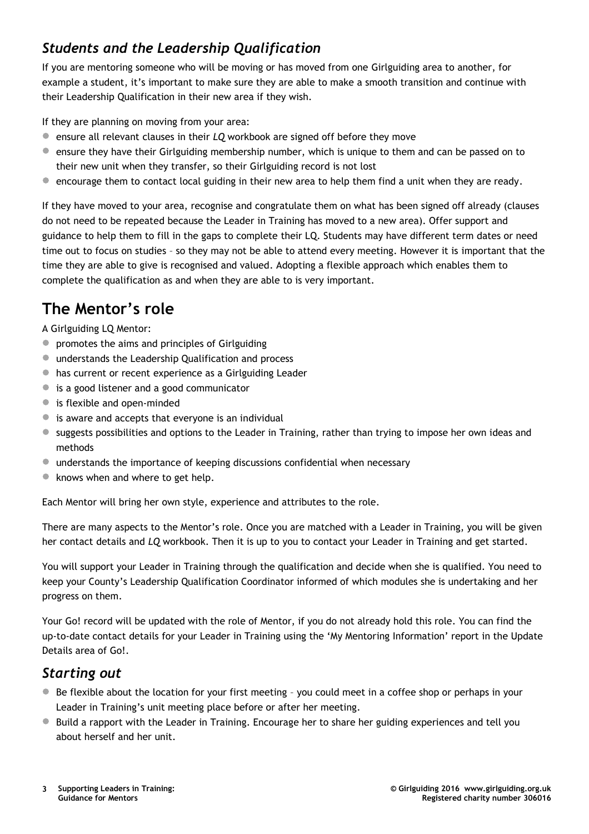### *Students and the Leadership Qualification*

If you are mentoring someone who will be moving or has moved from one Girlguiding area to another, for example a student, it's important to make sure they are able to make a smooth transition and continue with their Leadership Qualification in their new area if they wish.

If they are planning on moving from your area:

- ensure all relevant clauses in their *LQ* workbook are signed off before they move
- ensure they have their Girlguiding membership number, which is unique to them and can be passed on to their new unit when they transfer, so their Girlguiding record is not lost
- **•** encourage them to contact local guiding in their new area to help them find a unit when they are ready.

If they have moved to your area, recognise and congratulate them on what has been signed off already (clauses do not need to be repeated because the Leader in Training has moved to a new area). Offer support and guidance to help them to fill in the gaps to complete their LQ. Students may have different term dates or need time out to focus on studies – so they may not be able to attend every meeting. However it is important that the time they are able to give is recognised and valued. Adopting a flexible approach which enables them to complete the qualification as and when they are able to is very important.

# **The Mentor's role**

A Girlguiding LQ Mentor:

- promotes the aims and principles of Girlguiding
- understands the Leadership Qualification and process
- has current or recent experience as a Girlguiding Leader
- is a good listener and a good communicator
- is flexible and open-minded
- $\bullet$  is aware and accepts that everyone is an individual
- suggests possibilities and options to the Leader in Training, rather than trying to impose her own ideas and methods
- understands the importance of keeping discussions confidential when necessary
- knows when and where to get help.

Each Mentor will bring her own style, experience and attributes to the role.

There are many aspects to the Mentor's role. Once you are matched with a Leader in Training, you will be given her contact details and *LQ* workbook. Then it is up to you to contact your Leader in Training and get started.

You will support your Leader in Training through the qualification and decide when she is qualified. You need to keep your County's Leadership Qualification Coordinator informed of which modules she is undertaking and her progress on them.

Your Go! record will be updated with the role of Mentor, if you do not already hold this role. You can find the up-to-date contact details for your Leader in Training using the 'My Mentoring Information' report in the Update Details area of Go!.

#### *Starting out*

- Be flexible about the location for your first meeting you could meet in a coffee shop or perhaps in your Leader in Training's unit meeting place before or after her meeting.
- **Build a rapport with the Leader in Training. Encourage her to share her guiding experiences and tell you** about herself and her unit.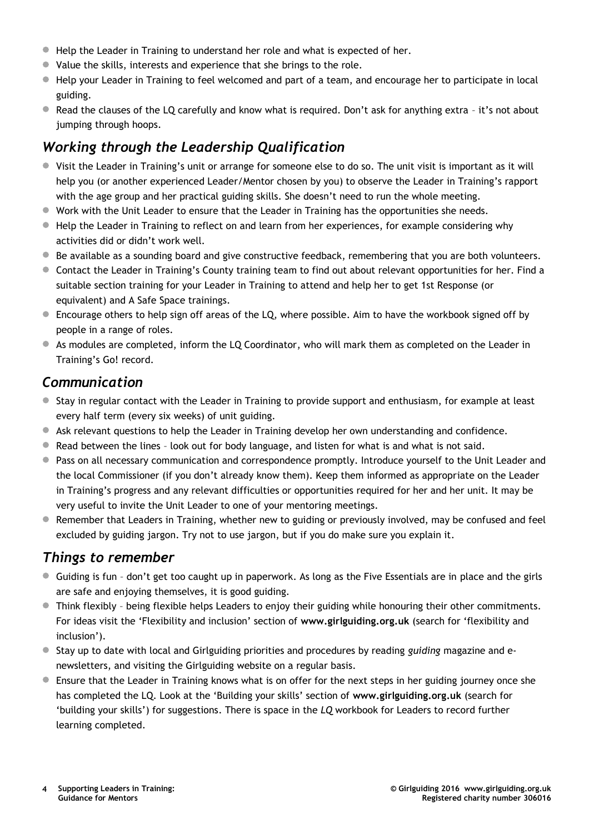- Help the Leader in Training to understand her role and what is expected of her.
- Value the skills, interests and experience that she brings to the role.
- Help your Leader in Training to feel welcomed and part of a team, and encourage her to participate in local guiding.
- Read the clauses of the LQ carefully and know what is required. Don't ask for anything extra it's not about jumping through hoops.

### *Working through the Leadership Qualification*

- Visit the Leader in Training's unit or arrange for someone else to do so. The unit visit is important as it will help you (or another experienced Leader/Mentor chosen by you) to observe the Leader in Training's rapport with the age group and her practical guiding skills. She doesn't need to run the whole meeting.
- Work with the Unit Leader to ensure that the Leader in Training has the opportunities she needs.
- $\bullet$  Help the Leader in Training to reflect on and learn from her experiences, for example considering why activities did or didn't work well.
- **Be available as a sounding board and give constructive feedback, remembering that you are both volunteers.**
- Contact the Leader in Training's County training team to find out about relevant opportunities for her. Find a suitable section training for your Leader in Training to attend and help her to get 1st Response (or equivalent) and A Safe Space trainings.
- Encourage others to help sign off areas of the LQ, where possible. Aim to have the workbook signed off by people in a range of roles.
- As modules are completed, inform the LQ Coordinator, who will mark them as completed on the Leader in Training's Go! record.

#### *Communication*

- Stay in regular contact with the Leader in Training to provide support and enthusiasm, for example at least every half term (every six weeks) of unit guiding.
- Ask relevant questions to help the Leader in Training develop her own understanding and confidence.
- **•** Read between the lines look out for body language, and listen for what is and what is not said.
- Pass on all necessary communication and correspondence promptly. Introduce yourself to the Unit Leader and the local Commissioner (if you don't already know them). Keep them informed as appropriate on the Leader in Training's progress and any relevant difficulties or opportunities required for her and her unit. It may be very useful to invite the Unit Leader to one of your mentoring meetings.
- **•** Remember that Leaders in Training, whether new to guiding or previously involved, may be confused and feel excluded by guiding jargon. Try not to use jargon, but if you do make sure you explain it.

#### *Things to remember*

- Guiding is fun don't get too caught up in paperwork. As long as the Five Essentials are in place and the girls are safe and enjoying themselves, it is good guiding.
- Think flexibly being flexible helps Leaders to enjoy their guiding while honouring their other commitments. For ideas visit the 'Flexibility and inclusion' section of **www.girlguiding.org.uk** (search for 'flexibility and inclusion').
- Stay up to date with local and Girlguiding priorities and procedures by reading *guiding* magazine and enewsletters, and visiting the Girlguiding website on a regular basis.
- Ensure that the Leader in Training knows what is on offer for the next steps in her guiding journey once she has completed the LQ. Look at the 'Building your skills' section of **www.girlguiding.org.uk** (search for 'building your skills') for suggestions. There is space in the *LQ* workbook for Leaders to record further learning completed.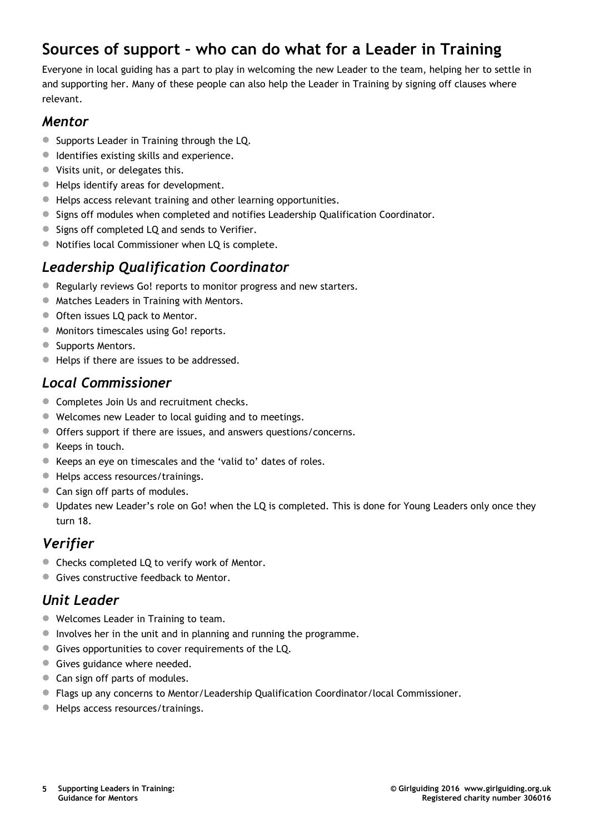### **Sources of support – who can do what for a Leader in Training**

Everyone in local guiding has a part to play in welcoming the new Leader to the team, helping her to settle in and supporting her. Many of these people can also help the Leader in Training by signing off clauses where relevant.

#### *Mentor*

- Supports Leader in Training through the LQ.
- Identifies existing skills and experience.
- Visits unit, or delegates this.
- Helps identify areas for development.
- Helps access relevant training and other learning opportunities.
- Signs off modules when completed and notifies Leadership Qualification Coordinator.
- Signs off completed LQ and sends to Verifier.
- Notifies local Commissioner when LQ is complete.

#### *Leadership Qualification Coordinator*

- Regularly reviews Go! reports to monitor progress and new starters.
- **Matches Leaders in Training with Mentors.**
- **Often issues LQ pack to Mentor.**
- **Monitors timescales using Go! reports.**
- Supports Mentors.
- Helps if there are issues to be addressed.

#### *Local Commissioner*

- **Completes Join Us and recruitment checks.**
- Welcomes new Leader to local guiding and to meetings.
- Offers support if there are issues, and answers questions/concerns.
- Keeps in touch.
- Keeps an eye on timescales and the 'valid to' dates of roles.
- Helps access resources/trainings.
- Can sign off parts of modules.
- Updates new Leader's role on Go! when the LQ is completed. This is done for Young Leaders only once they turn 18.

#### *Verifier*

- Checks completed LQ to verify work of Mentor.
- Gives constructive feedback to Mentor.

#### *Unit Leader*

- Welcomes Leader in Training to team.
- Involves her in the unit and in planning and running the programme.
- Gives opportunities to cover requirements of the LQ.
- Gives guidance where needed.
- Can sign off parts of modules.
- Flags up any concerns to Mentor/Leadership Qualification Coordinator/local Commissioner.
- **Helps access resources/trainings.**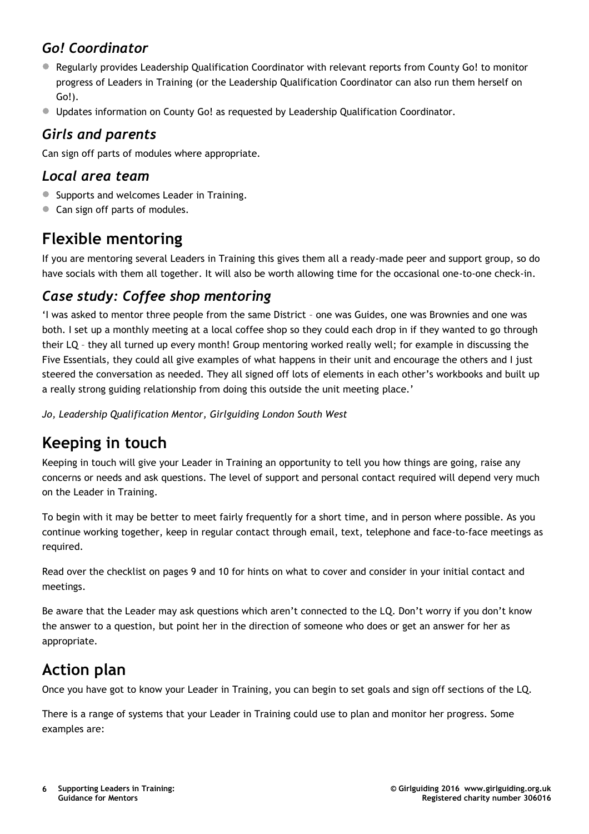### *Go! Coordinator*

- Regularly provides Leadership Qualification Coordinator with relevant reports from County Go! to monitor progress of Leaders in Training (or the Leadership Qualification Coordinator can also run them herself on Go!).
- Updates information on County Go! as requested by Leadership Qualification Coordinator.

#### *Girls and parents*

Can sign off parts of modules where appropriate.

#### *Local area team*

- **Supports and welcomes Leader in Training.**
- Can sign off parts of modules.

### **Flexible mentoring**

If you are mentoring several Leaders in Training this gives them all a ready-made peer and support group, so do have socials with them all together. It will also be worth allowing time for the occasional one-to-one check-in.

#### *Case study: Coffee shop mentoring*

'I was asked to mentor three people from the same District – one was Guides, one was Brownies and one was both. I set up a monthly meeting at a local coffee shop so they could each drop in if they wanted to go through their LQ – they all turned up every month! Group mentoring worked really well; for example in discussing the Five Essentials, they could all give examples of what happens in their unit and encourage the others and I just steered the conversation as needed. They all signed off lots of elements in each other's workbooks and built up a really strong guiding relationship from doing this outside the unit meeting place.'

*Jo, Leadership Qualification Mentor, Girlguiding London South West*

# **Keeping in touch**

Keeping in touch will give your Leader in Training an opportunity to tell you how things are going, raise any concerns or needs and ask questions. The level of support and personal contact required will depend very much on the Leader in Training.

To begin with it may be better to meet fairly frequently for a short time, and in person where possible. As you continue working together, keep in regular contact through email, text, telephone and face-to-face meetings as required.

Read over the checklist on pages 9 and 10 for hints on what to cover and consider in your initial contact and meetings.

Be aware that the Leader may ask questions which aren't connected to the LQ. Don't worry if you don't know the answer to a question, but point her in the direction of someone who does or get an answer for her as appropriate.

## **Action plan**

Once you have got to know your Leader in Training, you can begin to set goals and sign off sections of the LQ.

There is a range of systems that your Leader in Training could use to plan and monitor her progress. Some examples are: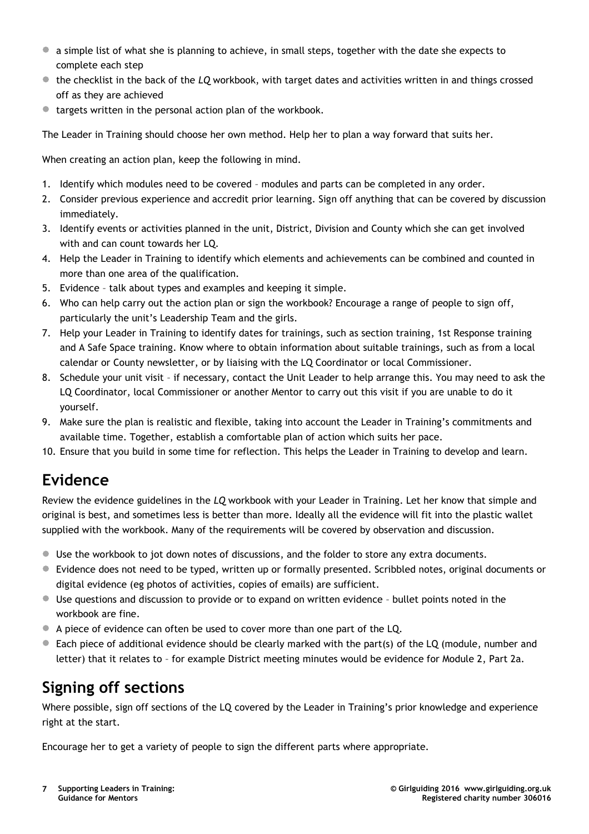- a simple list of what she is planning to achieve, in small steps, together with the date she expects to complete each step
- the checklist in the back of the *LQ* workbook, with target dates and activities written in and things crossed off as they are achieved
- targets written in the personal action plan of the workbook.

The Leader in Training should choose her own method. Help her to plan a way forward that suits her.

When creating an action plan, keep the following in mind.

- 1. Identify which modules need to be covered modules and parts can be completed in any order.
- 2. Consider previous experience and accredit prior learning. Sign off anything that can be covered by discussion immediately.
- 3. Identify events or activities planned in the unit, District, Division and County which she can get involved with and can count towards her LQ.
- 4. Help the Leader in Training to identify which elements and achievements can be combined and counted in more than one area of the qualification.
- 5. Evidence talk about types and examples and keeping it simple.
- 6. Who can help carry out the action plan or sign the workbook? Encourage a range of people to sign off, particularly the unit's Leadership Team and the girls.
- 7. Help your Leader in Training to identify dates for trainings, such as section training, 1st Response training and A Safe Space training. Know where to obtain information about suitable trainings, such as from a local calendar or County newsletter, or by liaising with the LQ Coordinator or local Commissioner.
- 8. Schedule your unit visit if necessary, contact the Unit Leader to help arrange this. You may need to ask the LQ Coordinator, local Commissioner or another Mentor to carry out this visit if you are unable to do it yourself.
- 9. Make sure the plan is realistic and flexible, taking into account the Leader in Training's commitments and available time. Together, establish a comfortable plan of action which suits her pace.
- 10. Ensure that you build in some time for reflection. This helps the Leader in Training to develop and learn.

## **Evidence**

Review the evidence guidelines in the *LQ* workbook with your Leader in Training. Let her know that simple and original is best, and sometimes less is better than more. Ideally all the evidence will fit into the plastic wallet supplied with the workbook. Many of the requirements will be covered by observation and discussion.

- Use the workbook to jot down notes of discussions, and the folder to store any extra documents.
- Evidence does not need to be typed, written up or formally presented. Scribbled notes, original documents or digital evidence (eg photos of activities, copies of emails) are sufficient.
- Use questions and discussion to provide or to expand on written evidence bullet points noted in the workbook are fine.
- <sup>A</sup> piece of evidence can often be used to cover more than one part of the LQ.
- Each piece of additional evidence should be clearly marked with the part(s) of the LQ (module, number and letter) that it relates to – for example District meeting minutes would be evidence for Module 2, Part 2a.

## **Signing off sections**

Where possible, sign off sections of the LQ covered by the Leader in Training's prior knowledge and experience right at the start.

Encourage her to get a variety of people to sign the different parts where appropriate.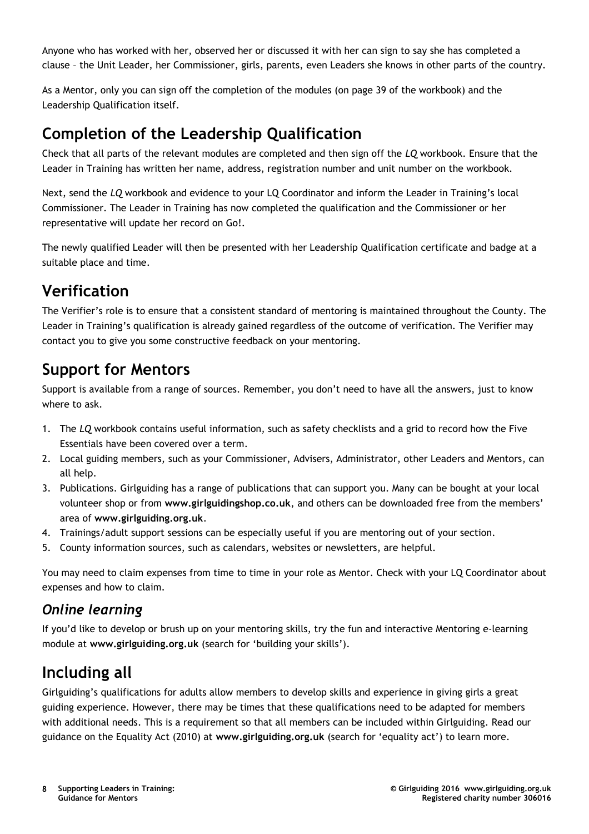Anyone who has worked with her, observed her or discussed it with her can sign to say she has completed a clause – the Unit Leader, her Commissioner, girls, parents, even Leaders she knows in other parts of the country.

As a Mentor, only you can sign off the completion of the modules (on page 39 of the workbook) and the Leadership Qualification itself.

### **Completion of the Leadership Qualification**

Check that all parts of the relevant modules are completed and then sign off the *LQ* workbook. Ensure that the Leader in Training has written her name, address, registration number and unit number on the workbook.

Next, send the *LQ* workbook and evidence to your LQ Coordinator and inform the Leader in Training's local Commissioner. The Leader in Training has now completed the qualification and the Commissioner or her representative will update her record on Go!.

The newly qualified Leader will then be presented with her Leadership Qualification certificate and badge at a suitable place and time.

# **Verification**

The Verifier's role is to ensure that a consistent standard of mentoring is maintained throughout the County. The Leader in Training's qualification is already gained regardless of the outcome of verification. The Verifier may contact you to give you some constructive feedback on your mentoring.

### **Support for Mentors**

Support is available from a range of sources. Remember, you don't need to have all the answers, just to know where to ask.

- 1. The *LQ* workbook contains useful information, such as safety checklists and a grid to record how the Five Essentials have been covered over a term.
- 2. Local guiding members, such as your Commissioner, Advisers, Administrator, other Leaders and Mentors, can all help.
- 3. Publications. Girlguiding has a range of publications that can support you. Many can be bought at your local volunteer shop or from **www.girlguidingshop.co.uk**, and others can be downloaded free from the members' area of **www.girlguiding.org.uk**.
- 4. Trainings/adult support sessions can be especially useful if you are mentoring out of your section.
- 5. County information sources, such as calendars, websites or newsletters, are helpful.

You may need to claim expenses from time to time in your role as Mentor. Check with your LQ Coordinator about expenses and how to claim.

#### *Online learning*

If you'd like to develop or brush up on your mentoring skills, try the fun and interactive Mentoring e-learning module at **www.girlguiding.org.uk** (search for 'building your skills').

## **Including all**

Girlguiding's qualifications for adults allow members to develop skills and experience in giving girls a great guiding experience. However, there may be times that these qualifications need to be adapted for members with additional needs. This is a requirement so that all members can be included within Girlguiding. Read our guidance on the Equality Act (2010) at **www.girlguiding.org.uk** (search for 'equality act') to learn more.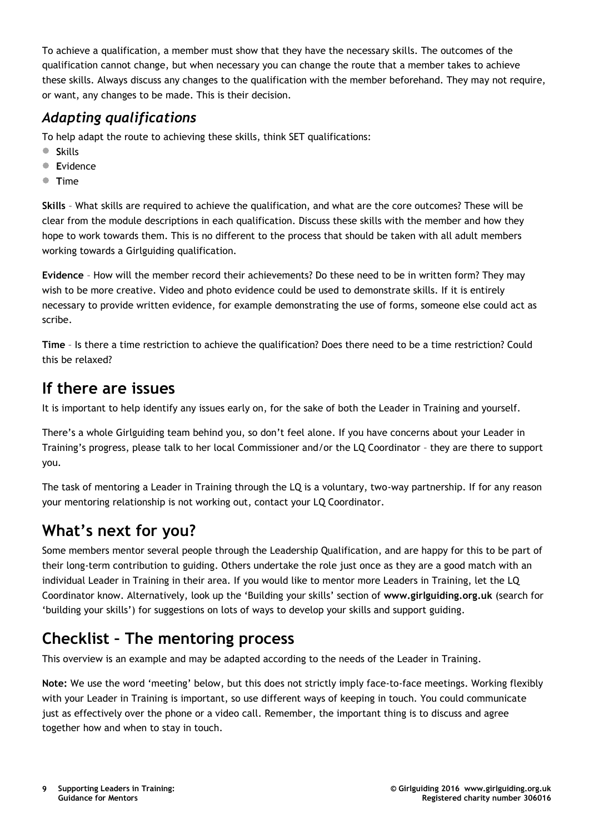To achieve a qualification, a member must show that they have the necessary skills. The outcomes of the qualification cannot change, but when necessary you can change the route that a member takes to achieve these skills. Always discuss any changes to the qualification with the member beforehand. They may not require, or want, any changes to be made. This is their decision.

### *Adapting qualifications*

To help adapt the route to achieving these skills, think SET qualifications:

- **<sup>S</sup>**kills
- **<sup>E</sup>**vidence
- **<sup>T</sup>**ime

**Skills** – What skills are required to achieve the qualification, and what are the core outcomes? These will be clear from the module descriptions in each qualification. Discuss these skills with the member and how they hope to work towards them. This is no different to the process that should be taken with all adult members working towards a Girlguiding qualification.

**Evidence** – How will the member record their achievements? Do these need to be in written form? They may wish to be more creative. Video and photo evidence could be used to demonstrate skills. If it is entirely necessary to provide written evidence, for example demonstrating the use of forms, someone else could act as scribe.

**Time** – Is there a time restriction to achieve the qualification? Does there need to be a time restriction? Could this be relaxed?

### **If there are issues**

It is important to help identify any issues early on, for the sake of both the Leader in Training and yourself.

There's a whole Girlguiding team behind you, so don't feel alone. If you have concerns about your Leader in Training's progress, please talk to her local Commissioner and/or the LQ Coordinator – they are there to support you.

The task of mentoring a Leader in Training through the LQ is a voluntary, two-way partnership. If for any reason your mentoring relationship is not working out, contact your LQ Coordinator.

# **What's next for you?**

Some members mentor several people through the Leadership Qualification, and are happy for this to be part of their long-term contribution to guiding. Others undertake the role just once as they are a good match with an individual Leader in Training in their area. If you would like to mentor more Leaders in Training, let the LQ Coordinator know. Alternatively, look up the 'Building your skills' section of **www.girlguiding.org.uk** (search for 'building your skills') for suggestions on lots of ways to develop your skills and support guiding.

# **Checklist – The mentoring process**

This overview is an example and may be adapted according to the needs of the Leader in Training.

**Note:** We use the word 'meeting' below, but this does not strictly imply face-to-face meetings. Working flexibly with your Leader in Training is important, so use different ways of keeping in touch. You could communicate just as effectively over the phone or a video call. Remember, the important thing is to discuss and agree together how and when to stay in touch.